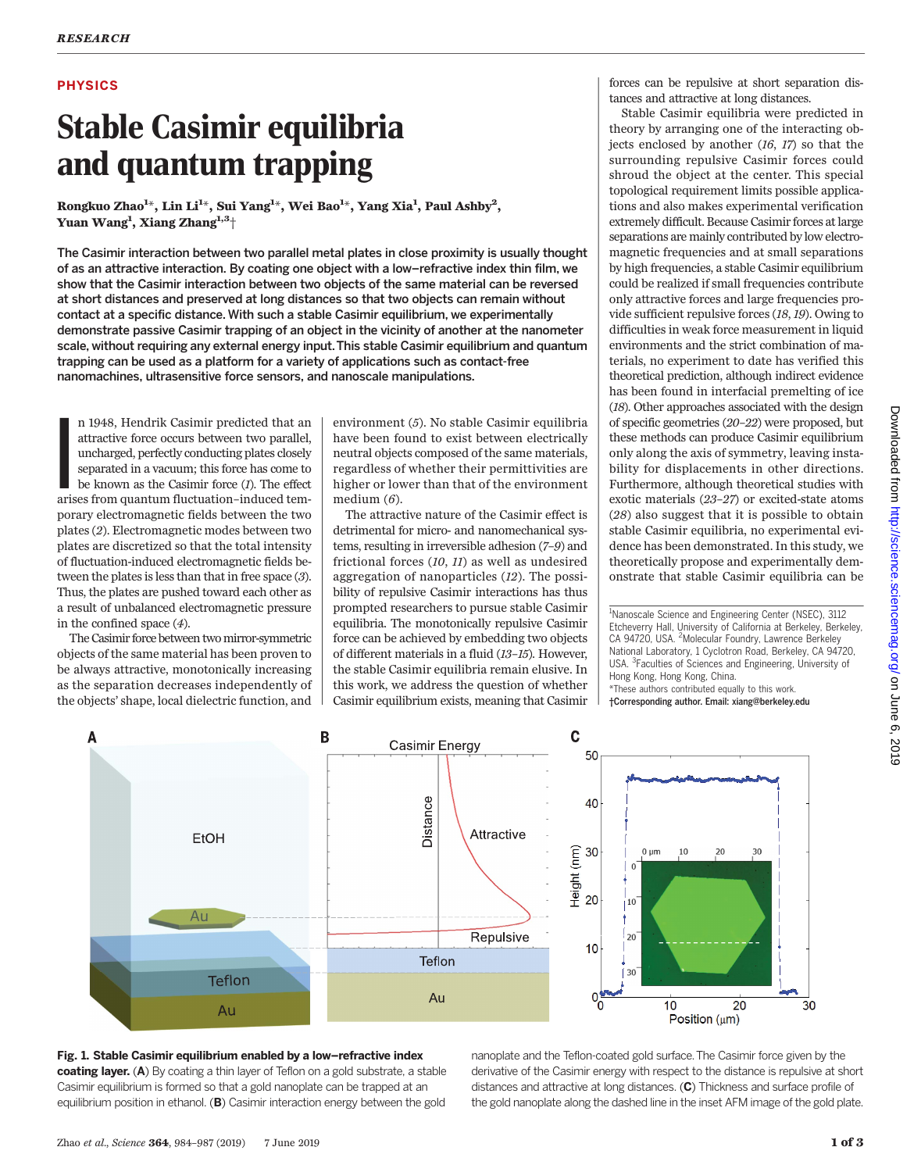# PHYSICS

# Stable Casimir equilibria and quantum trapping

Kongkuo Znao<sup>-</sup><br>Vuon Wong<sup>1</sup> - V \*, Lin Li<sup>1\*</sup>, Sui Yang<sup>1\*</sup>, Wei Bao<sup>1\*</sup>, Yang Xia<sup>1</sup>, Paul Ashby<sup>2</sup>,<br>Jang Zhang<sup>1,3+</sup> Yuan Wang<sup>1</sup>, Xiang Zhang<sup>1,3</sup>†

The Casimir interaction between two parallel metal plates in close proximity is usually thought of as an attractive interaction. By coating one object with a low–refractive index thin film, we show that the Casimir interaction between two objects of the same material can be reversed at short distances and preserved at long distances so that two objects can remain without contact at a specific distance. With such a stable Casimir equilibrium, we experimentally demonstrate passive Casimir trapping of an object in the vicinity of another at the nanometer scale, without requiring any external energy input.This stable Casimir equilibrium and quantum trapping can be used as a platform for a variety of applications such as contact-free nanomachines, ultrasensitive force sensors, and nanoscale manipulations.

I<br>I<br>I<br>I<br>I<br>I n 1948, Hendrik Casimir predicted that an attractive force occurs between two parallel, uncharged, perfectly conducting plates closely separated in a vacuum; this force has come to be known as the Casimir force  $(I)$ . The effect arises from quantum fluctuation–induced temporary electromagnetic fields between the two plates (2). Electromagnetic modes between two plates are discretized so that the total intensity of fluctuation-induced electromagnetic fields between the plates is less than that in free space (3). Thus, the plates are pushed toward each other as a result of unbalanced electromagnetic pressure in the confined space (4).

The Casimir force between twomirror-symmetric objects of the same material has been proven to be always attractive, monotonically increasing as the separation decreases independently of the objects' shape, local dielectric function, and

environment (5). No stable Casimir equilibria have been found to exist between electrically neutral objects composed of the same materials, regardless of whether their permittivities are higher or lower than that of the environment medium  $(6)$ .

The attractive nature of the Casimir effect is detrimental for micro- and nanomechanical systems, resulting in irreversible adhesion (7–9) and frictional forces (10, 11) as well as undesired aggregation of nanoparticles (12). The possibility of repulsive Casimir interactions has thus prompted researchers to pursue stable Casimir equilibria. The monotonically repulsive Casimir force can be achieved by embedding two objects of different materials in a fluid (13–15). However, the stable Casimir equilibria remain elusive. In this work, we address the question of whether Casimir equilibrium exists, meaning that Casimir forces can be repulsive at short separation distances and attractive at long distances.

Stable Casimir equilibria were predicted in theory by arranging one of the interacting objects enclosed by another (16, 17) so that the surrounding repulsive Casimir forces could shroud the object at the center. This special topological requirement limits possible applications and also makes experimental verification extremely difficult. Because Casimir forces at large separations are mainly contributed by low electromagnetic frequencies and at small separations by high frequencies, a stable Casimir equilibrium could be realized if small frequencies contribute only attractive forces and large frequencies provide sufficient repulsive forces (18, 19). Owing to difficulties in weak force measurement in liquid environments and the strict combination of materials, no experiment to date has verified this theoretical prediction, although indirect evidence has been found in interfacial premelting of ice (18). Other approaches associated with the design of specific geometries (20–22) were proposed, but these methods can produce Casimir equilibrium only along the axis of symmetry, leaving instability for displacements in other directions. Furthermore, although theoretical studies with exotic materials (23–27) or excited-state atoms (28) also suggest that it is possible to obtain stable Casimir equilibria, no experimental evidence has been demonstrated. In this study, we theoretically propose and experimentally demonstrate that stable Casimir equilibria can be

<sup>1</sup>Nanoscale Science and Engineering Center (NSEC), 3112 Etcheverry Hall, University of California at Berkeley, Berkeley, CA 94720, USA. <sup>2</sup>Molecular Foundry, Lawrence Berkeley National Laboratory, 1 Cyclotron Road, Berkeley, CA 94720, USA. <sup>3</sup> Faculties of Sciences and Engineering, University of Hong Kong, Hong Kong, China. \*These authors contributed equally to this work. †Corresponding author. Email: xiang@berkeley.edu

 $\mathbf c$ B Α Casimir Energy 50 Distance 40 Attractive **FtOH**  $\frac{2}{10}$  30<br> $\frac{1}{10}$  20  $0 \text{ um}$ 10 20  $30$ 10 Au Repulsive 20 10 Teflon 30 Teflon  $0^{0}$ Au 30  $10$ 20 Au Position (µm)

## Fig. 1. Stable Casimir equilibrium enabled by a low–refractive index coating layer. (A) By coating a thin layer of Teflon on a gold substrate, a stable Casimir equilibrium is formed so that a gold nanoplate can be trapped at an equilibrium position in ethanol. (B) Casimir interaction energy between the gold

nanoplate and the Teflon-coated gold surface.The Casimir force given by the derivative of the Casimir energy with respect to the distance is repulsive at short distances and attractive at long distances. (C) Thickness and surface profile of the gold nanoplate along the dashed line in the inset AFM image of the gold plate.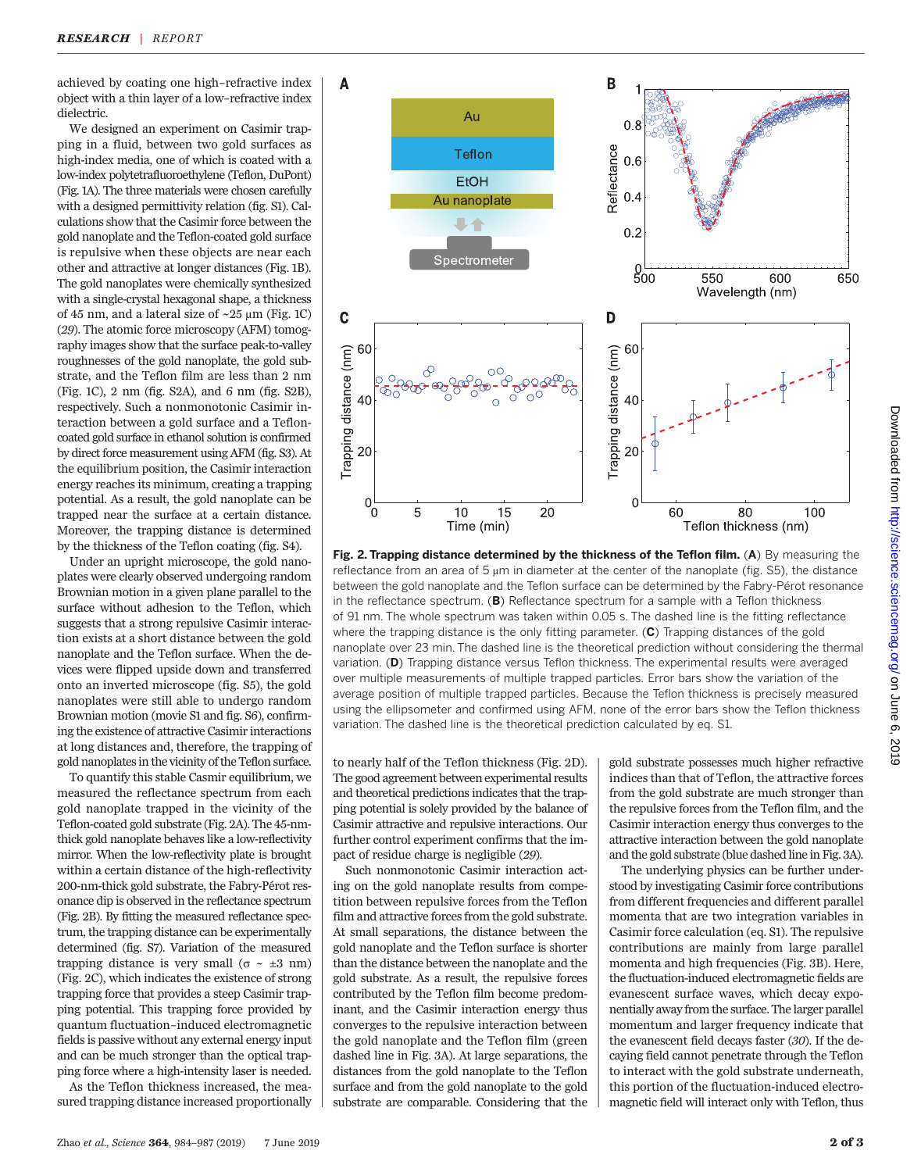achieved by coating one high–refractive index object with a thin layer of a low–refractive index dielectric.

We designed an experiment on Casimir trapping in a fluid, between two gold surfaces as high-index media, one of which is coated with a low-index polytetrafluoroethylene (Teflon, DuPont) (Fig. 1A). The three materials were chosen carefully with a designed permittivity relation (fig. S1). Calculations show that the Casimir force between the gold nanoplate and the Teflon-coated gold surface is repulsive when these objects are near each other and attractive at longer distances (Fig. 1B). The gold nanoplates were chemically synthesized with a single-crystal hexagonal shape, a thickness of 45 nm, and a lateral size of  $\sim$  25 µm (Fig. 1C) (29). The atomic force microscopy (AFM) tomography images show that the surface peak-to-valley roughnesses of the gold nanoplate, the gold substrate, and the Teflon film are less than 2 nm (Fig. 1C), 2 nm (fig. S2A), and 6 nm (fig. S2B), respectively. Such a nonmonotonic Casimir interaction between a gold surface and a Tefloncoated gold surface in ethanol solution is confirmed by direct force measurement using AFM (fig. S3). At the equilibrium position, the Casimir interaction energy reaches its minimum, creating a trapping potential. As a result, the gold nanoplate can be trapped near the surface at a certain distance. Moreover, the trapping distance is determined by the thickness of the Teflon coating (fig. S4).

Under an upright microscope, the gold nanoplates were clearly observed undergoing random Brownian motion in a given plane parallel to the surface without adhesion to the Teflon, which suggests that a strong repulsive Casimir interaction exists at a short distance between the gold nanoplate and the Teflon surface. When the devices were flipped upside down and transferred onto an inverted microscope (fig. S5), the gold nanoplates were still able to undergo random Brownian motion (movie S1 and fig. S6), confirming the existence of attractive Casimir interactions at long distances and, therefore, the trapping of gold nanoplates in the vicinity of the Teflon surface.

To quantify this stable Casmir equilibrium, we measured the reflectance spectrum from each gold nanoplate trapped in the vicinity of the Teflon-coated gold substrate (Fig. 2A). The 45-nmthick gold nanoplate behaves like a low-reflectivity mirror. When the low-reflectivity plate is brought within a certain distance of the high-reflectivity 200-nm-thick gold substrate, the Fabry-Pérot resonance dip is observed in the reflectance spectrum (Fig. 2B). By fitting the measured reflectance spectrum, the trapping distance can be experimentally determined (fig. S7). Variation of the measured trapping distance is very small ( $\sigma \sim \pm 3$  nm) (Fig. 2C), which indicates the existence of strong trapping force that provides a steep Casimir trapping potential. This trapping force provided by quantum fluctuation–induced electromagnetic fields is passive without any external energy input and can be much stronger than the optical trapping force where a high-intensity laser is needed.

As the Teflon thickness increased, the measured trapping distance increased proportionally



Fig. 2. Trapping distance determined by the thickness of the Teflon film.  $(A)$  By measuring the reflectance from an area of  $5 \mu m$  in diameter at the center of the nanoplate (fig. S5), the distance between the gold nanoplate and the Teflon surface can be determined by the Fabry-Pérot resonance in the reflectance spectrum. (B) Reflectance spectrum for a sample with a Teflon thickness of 91 nm. The whole spectrum was taken within 0.05 s. The dashed line is the fitting reflectance where the trapping distance is the only fitting parameter.  $(C)$  Trapping distances of the gold nanoplate over 23 min. The dashed line is the theoretical prediction without considering the thermal variation. (D) Trapping distance versus Teflon thickness. The experimental results were averaged over multiple measurements of multiple trapped particles. Error bars show the variation of the average position of multiple trapped particles. Because the Teflon thickness is precisely measured using the ellipsometer and confirmed using AFM, none of the error bars show the Teflon thickness variation. The dashed line is the theoretical prediction calculated by eq. S1.

to nearly half of the Teflon thickness (Fig. 2D). The good agreement between experimental results and theoretical predictions indicates that the trapping potential is solely provided by the balance of Casimir attractive and repulsive interactions. Our further control experiment confirms that the impact of residue charge is negligible (29).

Such nonmonotonic Casimir interaction acting on the gold nanoplate results from competition between repulsive forces from the Teflon film and attractive forces from the gold substrate. At small separations, the distance between the gold nanoplate and the Teflon surface is shorter than the distance between the nanoplate and the gold substrate. As a result, the repulsive forces contributed by the Teflon film become predominant, and the Casimir interaction energy thus converges to the repulsive interaction between the gold nanoplate and the Teflon film (green dashed line in Fig. 3A). At large separations, the distances from the gold nanoplate to the Teflon surface and from the gold nanoplate to the gold substrate are comparable. Considering that the gold substrate possesses much higher refractive indices than that of Teflon, the attractive forces from the gold substrate are much stronger than the repulsive forces from the Teflon film, and the Casimir interaction energy thus converges to the attractive interaction between the gold nanoplate and the gold substrate (blue dashed line in Fig. 3A).

The underlying physics can be further understood by investigating Casimir force contributions from different frequencies and different parallel momenta that are two integration variables in Casimir force calculation (eq. S1). The repulsive contributions are mainly from large parallel momenta and high frequencies (Fig. 3B). Here, the fluctuation-induced electromagnetic fields are evanescent surface waves, which decay exponentially away from the surface. The larger parallel momentum and larger frequency indicate that the evanescent field decays faster (30). If the decaying field cannot penetrate through the Teflon to interact with the gold substrate underneath, this portion of the fluctuation-induced electromagnetic field will interact only with Teflon, thus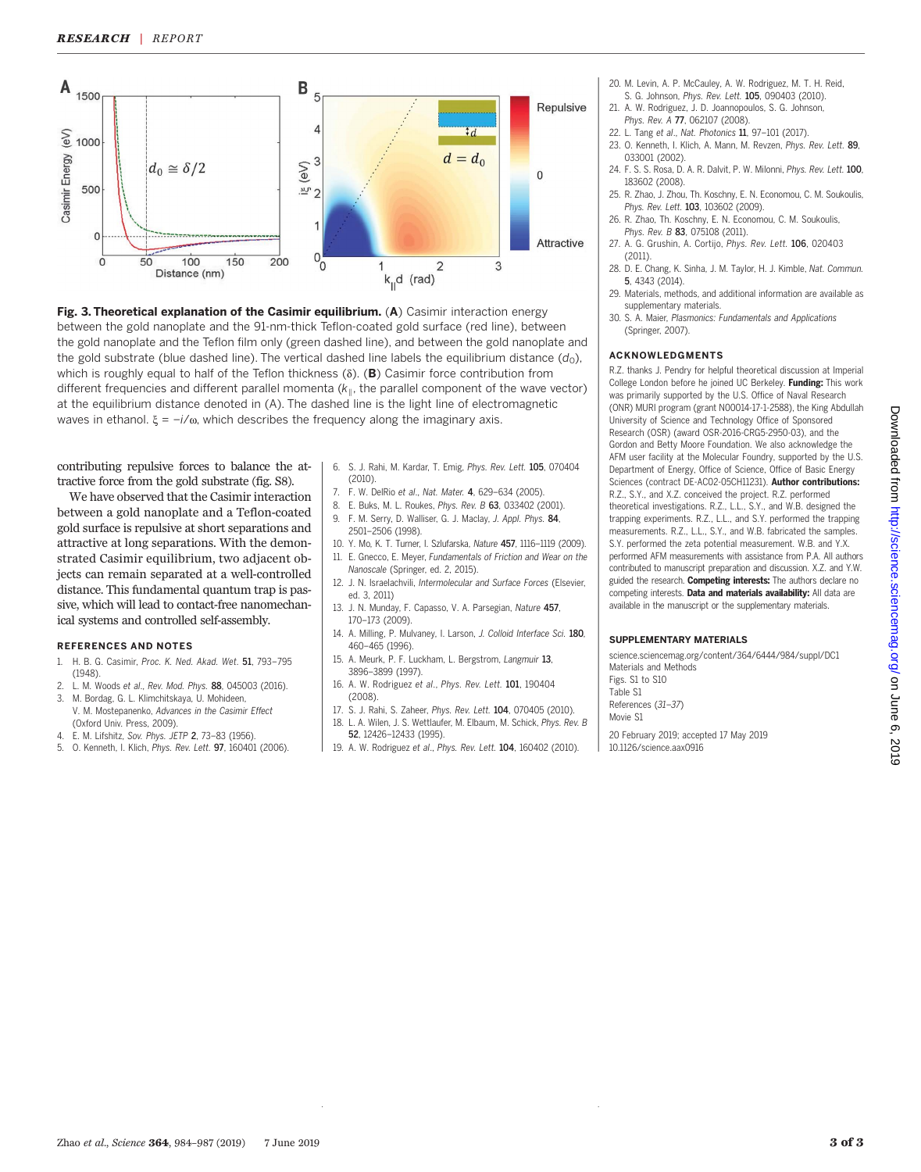



contributing repulsive forces to balance the attractive force from the gold substrate (fig. S8).

We have observed that the Casimir interaction between a gold nanoplate and a Teflon-coated gold surface is repulsive at short separations and attractive at long separations. With the demonstrated Casimir equilibrium, two adjacent objects can remain separated at a well-controlled distance. This fundamental quantum trap is passive, which will lead to contact-free nanomechanical systems and controlled self-assembly.

### REFERENCES AND NOTES

- 1. H. B. G. Casimir, Proc. K. Ned. Akad. Wet. 51, 793–795 (1948).
- 2. L. M. Woods et al., Rev. Mod. Phys. 88, 045003 (2016). 3. M. Bordag, G. L. Klimchitskaya, U. Mohideen,
- V. M. Mostepanenko, Advances in the Casimir Effect (Oxford Univ. Press, 2009). 4. E. M. Lifshitz, Sov. Phys. JETP 2, 73–83 (1956).
- 5. O. Kenneth, I. Klich, Phys. Rev. Lett. 97, 160401 (2006).
- 6. S. J. Rahi, M. Kardar, T. Emig, Phys. Rev. Lett. 105, 070404 (2010).
- 7. F. W. DelRio et al., Nat. Mater. 4, 629–634 (2005).
- 8. E. Buks, M. L. Roukes, Phys. Rev. B 63, 033402 (2001).
- 9. F. M. Serry, D. Walliser, G. J. Maclay, J. Appl. Phys. 84, 2501–2506 (1998). 10. Y. Mo, K. T. Turner, I. Szlufarska, Nature 457, 1116–1119 (2009).
- 11. E. Gnecco, E. Meyer, Fundamentals of Friction and Wear on the Nanoscale (Springer, ed. 2, 2015).
- 12. J. N. Israelachvili, Intermolecular and Surface Forces (Elsevier, ed. 3, 2011)
- 13. J. N. Munday, F. Capasso, V. A. Parsegian, Nature 457, 170–173 (2009).
- 14. A. Milling, P. Mulvaney, I. Larson, J. Colloid Interface Sci. 180, 460–465 (1996).
- 15. A. Meurk, P. F. Luckham, L. Bergstrom, Langmuir 13, 3896–3899 (1997).
- 16. A. W. Rodriguez et al., Phys. Rev. Lett. 101, 190404 (2008).
- 17. S. J. Rahi, S. Zaheer, Phys. Rev. Lett. 104, 070405 (2010).
- 18. L. A. Wilen, J. S. Wettlaufer, M. Elbaum, M. Schick, Phys. Rev. B 52, 12426–12433 (1995).
- 19. A. W. Rodriguez et al., Phys. Rev. Lett. 104, 160402 (2010).
- 20. M. Levin, A. P. McCauley, A. W. Rodriguez, M. T. H. Reid,
- S. G. Johnson, Phys. Rev. Lett. 105, 090403 (2010). 21. A. W. Rodriguez, J. D. Joannopoulos, S. G. Johnson,
- Phys. Rev. A 77, 062107 (2008).
- 22. L. Tang et al., Nat. Photonics 11, 97–101 (2017).
- 23. O. Kenneth, I. Klich, A. Mann, M. Revzen, Phys. Rev. Lett. 89, 033001 (2002).
- 24. F. S. S. Rosa, D. A. R. Dalvit, P. W. Milonni, Phys. Rev. Lett. 100. 183602 (2008).
- 25. R. Zhao, J. Zhou, Th. Koschny, E. N. Economou, C. M. Soukoulis, Phys. Rev. Lett. 103, 103602 (2009).
- 26. R. Zhao, Th. Koschny, E. N. Economou, C. M. Soukoulis, Phys. Rev. B 83, 075108 (2011).
- 27. A. G. Grushin, A. Cortijo, Phys. Rev. Lett. 106, 020403 (2011).
- 28. D. E. Chang, K. Sinha, J. M. Taylor, H. J. Kimble, Nat. Commun. 5, 4343 (2014).
- 29. Materials, methods, and additional information are available as supplementary materials.
- 30. S. A. Maier, Plasmonics: Fundamentals and Applications (Springer, 2007).

## ACKNOWLEDGMENTS

R.Z. thanks J. Pendry for helpful theoretical discussion at Imperial College London before he joined UC Berkeley. Funding: This work was primarily supported by the U.S. Office of Naval Research (ONR) MURI program (grant N00014-17-1-2588), the King Abdullah University of Science and Technology Office of Sponsored Research (OSR) (award OSR-2016-CRG5-2950-03), and the Gordon and Betty Moore Foundation. We also acknowledge the AFM user facility at the Molecular Foundry, supported by the U.S. Department of Energy, Office of Science, Office of Basic Energy Sciences (contract DE-AC02-05CH11231). Author contributions: R.Z., S.Y., and X.Z. conceived the project. R.Z. performed theoretical investigations. R.Z., L.L., S.Y., and W.B. designed the trapping experiments. R.Z., L.L., and S.Y. performed the trapping measurements. R.Z., L.L., S.Y., and W.B. fabricated the samples. S.Y. performed the zeta potential measurement. W.B. and Y.X. performed AFM measurements with assistance from P.A. All authors contributed to manuscript preparation and discussion. X.Z. and Y.W. guided the research. Competing interests: The authors declare no competing interests. Data and materials availability: All data are available in the manuscript or the supplementary materials.

#### SUPPLEMENTARY MATERIALS

[science.sciencemag.org/content/364/6444/984/suppl/DC1](http://science.sciencemag.org/content/364/6444/984/suppl/DC1) Materials and Methods

Figs. S1 to S10 Table S1 References (31–37)

Movie S1

20 February 2019; accepted 17 May 2019 10.1126/science.aax0916